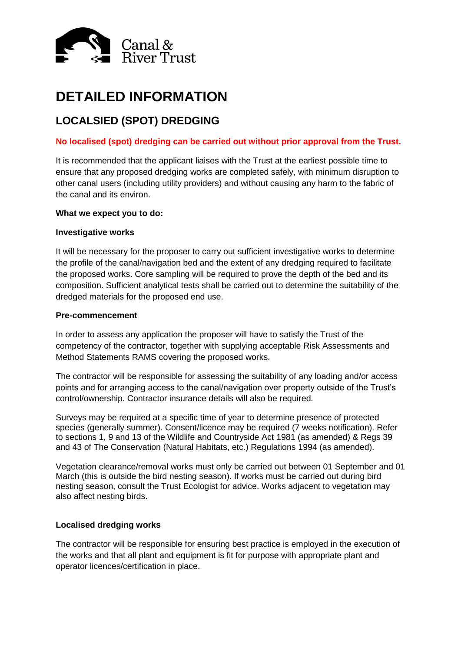

# **DETAILED INFORMATION**

# **LOCALSIED (SPOT) DREDGING**

# **No localised (spot) dredging can be carried out without prior approval from the Trust.**

It is recommended that the applicant liaises with the Trust at the earliest possible time to ensure that any proposed dredging works are completed safely, with minimum disruption to other canal users (including utility providers) and without causing any harm to the fabric of the canal and its environ.

# **What we expect you to do:**

#### **Investigative works**

It will be necessary for the proposer to carry out sufficient investigative works to determine the profile of the canal/navigation bed and the extent of any dredging required to facilitate the proposed works. Core sampling will be required to prove the depth of the bed and its composition. Sufficient analytical tests shall be carried out to determine the suitability of the dredged materials for the proposed end use.

# **Pre-commencement**

In order to assess any application the proposer will have to satisfy the Trust of the competency of the contractor, together with supplying acceptable Risk Assessments and Method Statements RAMS covering the proposed works.

The contractor will be responsible for assessing the suitability of any loading and/or access points and for arranging access to the canal/navigation over property outside of the Trust's control/ownership. Contractor insurance details will also be required.

Surveys may be required at a specific time of year to determine presence of protected species (generally summer). Consent/licence may be required (7 weeks notification). Refer to sections 1, 9 and 13 of the Wildlife and Countryside Act 1981 (as amended) & Regs 39 and 43 of The Conservation (Natural Habitats, etc.) Regulations 1994 (as amended).

Vegetation clearance/removal works must only be carried out between 01 September and 01 March (this is outside the bird nesting season). If works must be carried out during bird nesting season, consult the Trust Ecologist for advice. Works adjacent to vegetation may also affect nesting birds.

# **Localised dredging works**

The contractor will be responsible for ensuring best practice is employed in the execution of the works and that all plant and equipment is fit for purpose with appropriate plant and operator licences/certification in place.